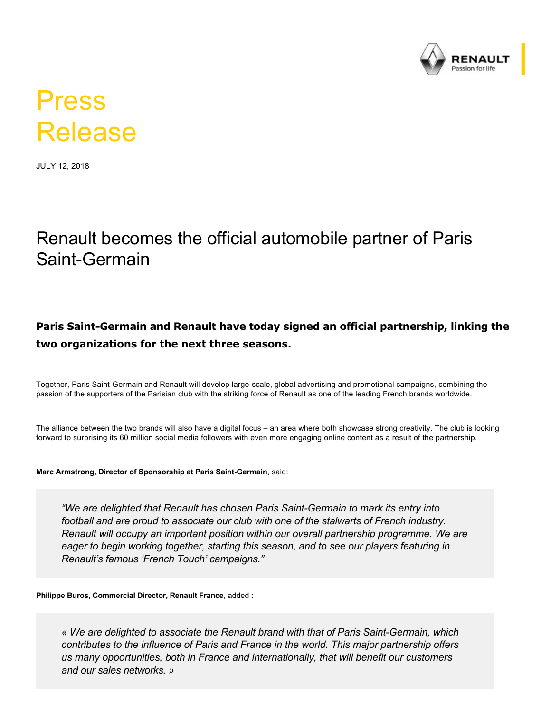

# Press Release

JULY 12, 2018

## Renault becomes the official automobile partner of Paris Saint-Germain

#### Paris Saint-Germain and Renault have today signed an official partnership, linking the **two organizations for the next three seasons.**

Together, Paris Saint-Germain and Renault will develop large-scale, global advertising and promotional campaigns, combining the passion of the supporters of the Parisian club with the striking force of Renault as one of the leading French brands worldwide.

The alliance between the two brands will also have a digital focus – an area where both showcase strong creativity. The club is looking forward to surprising its 60 million social media followers with even more engaging online content as a result of the partnership.

#### Marc Armstrong, Director of Sponsorship at Paris Saint-Germain, said:

*"We are delighted that Renault has chosen Paris SaintGermain to mark its entry into football and are proud to associate our club with one of the stalwarts of French industry. Renault will occupy an important position within our overall partnership programme. We are eager to begin working together, starting this season, and to see our players featuring in Renault's famous 'French Touch' campaigns."* 

**Philippe Buros, Commercial Director, Renault France**, added :

*« We are delighted to associate the Renault brand with that of Paris SaintGermain, which contributes to the influence of Paris and France in the world. This major partnership offers us many opportunities, both in France and internationally, that will benefit our customers and our sales networks. »*